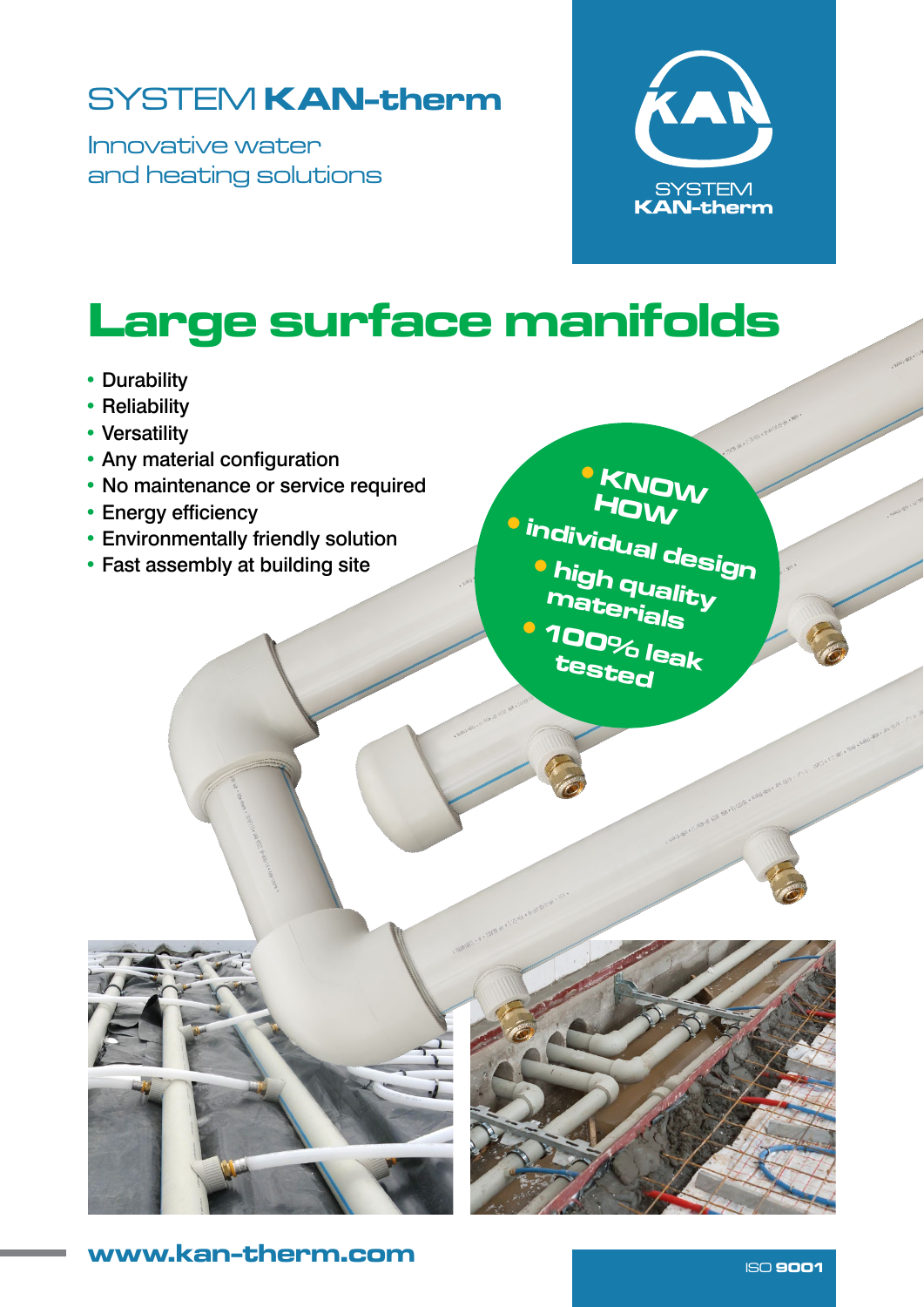# SYSTEM KAN-therm

Innovative water and heating solutions



# Large surface manifolds

- Durability
- Reliability
- Versatility
- Any material configuration
- No maintenance or service required
- Energy efficiency
- Environmentally friendly solution
- Fast assembly at building site

•KNOW HOW •individual design •high quality materials •100% leak tested